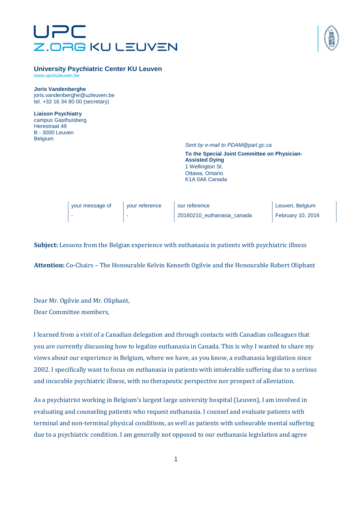# Z.ORG KU LEUVEN



#### **University Psychiatric Center KU Leuven**

www.upckuleuven.be

**Joris Vandenberghe** 

joris.vandenberghe@uzleuven.be tel. +32 16 34 80 00 (secretary)

**Liaison Psychiatry**  campus Gasthuisberg Herestraat 49 B - 3000 Leuven Belgium

Sent by e-mail to PDAM@parl.gc.ca

**To the Special Joint Committee on Physician-Assisted Dying**  1 Wellington St. Ottawa, Ontario K1A 0A6 Canada

| vour message of | vour reference | our reference              | Leuven, Belgium   |
|-----------------|----------------|----------------------------|-------------------|
|                 |                | 20160210 euthanasia canada | February 10, 2016 |

**Subject:** Lessons from the Belgian experience with euthanasia in patients with psychiatric illness

**Attention:** Co-Chairs – The Honourable Kelvin Kenneth Ogilvie and the Honourable Robert Oliphant

Dear Mr. Ogilvie and Mr. Oliphant, Dear Committee members,

I learned from a visit of a Canadian delegation and through contacts with Canadian colleagues that you are currently discussing how to legalize euthanasia in Canada. This is why I wanted to share my views about our experience in Belgium, where we have, as you know, a euthanasia legislation since 2002. I specifically want to focus on euthanasia in patients with intolerable suffering due to a serious and incurable psychiatric illness, with no therapeutic perspective nor prospect of alleviation.

As a psychiatrist working in Belgium's largest large university hospital (Leuven), I am involved in evaluating and counseling patients who request euthanasia. I counsel and evaluate patients with terminal and non-terminal physical conditions, as well as patients with unbearable mental suffering due to a psychiatric condition. I am generally not opposed to our euthanasia legislation and agree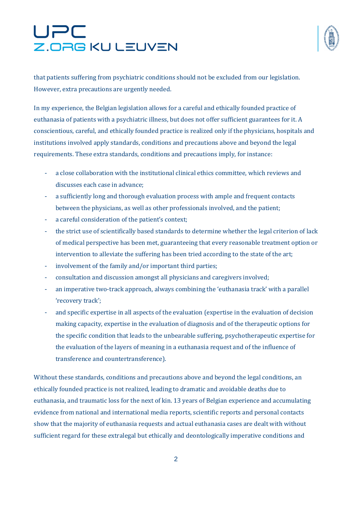## UPC Z.ORG KU LEUVEN



that patients suffering from psychiatric conditions should not be excluded from our legislation. However, extra precautions are urgently needed.

In my experience, the Belgian legislation allows for a careful and ethically founded practice of euthanasia of patients with a psychiatric illness, but does not offer sufficient guarantees for it. A conscientious, careful, and ethically founded practice is realized only if the physicians, hospitals and institutions involved apply standards, conditions and precautions above and beyond the legal requirements. These extra standards, conditions and precautions imply, for instance:

- a close collaboration with the institutional clinical ethics committee, which reviews and discusses each case in advance;
- a sufficiently long and thorough evaluation process with ample and frequent contacts between the physicians, as well as other professionals involved, and the patient;
- a careful consideration of the patient's context;
- the strict use of scientifically based standards to determine whether the legal criterion of lack of medical perspective has been met, guaranteeing that every reasonable treatment option or intervention to alleviate the suffering has been tried according to the state of the art;
- involvement of the family and/or important third parties;
- consultation and discussion amongst all physicians and caregivers involved;
- an imperative two-track approach, always combining the 'euthanasia track' with a parallel 'recovery track';
- and specific expertise in all aspects of the evaluation (expertise in the evaluation of decision making capacity, expertise in the evaluation of diagnosis and of the therapeutic options for the specific condition that leads to the unbearable suffering, psychotherapeutic expertise for the evaluation of the layers of meaning in a euthanasia request and of the influence of transference and countertransference).

Without these standards, conditions and precautions above and beyond the legal conditions, an ethically founded practice is not realized, leading to dramatic and avoidable deaths due to euthanasia, and traumatic loss for the next of kin. 13 years of Belgian experience and accumulating evidence from national and international media reports, scientific reports and personal contacts show that the majority of euthanasia requests and actual euthanasia cases are dealt with without sufficient regard for these extralegal but ethically and deontologically imperative conditions and